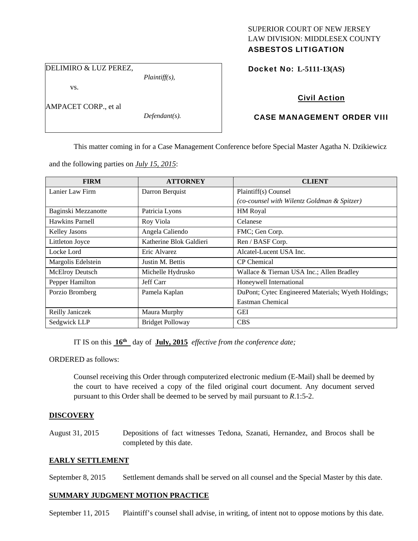# SUPERIOR COURT OF NEW JERSEY LAW DIVISION: MIDDLESEX COUNTY

# ASBESTOS LITIGATION

DELIMIRO & LUZ PEREZ,

*Plaintiff(s),* 

Docket No: **L-5111-13(AS)** 

vs.

AMPACET CORP., et al

*Defendant(s).* 

## Civil Action

## CASE MANAGEMENT ORDER VIII

This matter coming in for a Case Management Conference before Special Master Agatha N. Dzikiewicz

and the following parties on *July 15, 2015*:

| <b>FIRM</b>            | <b>ATTORNEY</b>         | <b>CLIENT</b>                                       |
|------------------------|-------------------------|-----------------------------------------------------|
| Lanier Law Firm        | Darron Berquist         | Plaintiff(s) Counsel                                |
|                        |                         | (co-counsel with Wilentz Goldman & Spitzer)         |
| Baginski Mezzanotte    | Patricia Lyons          | HM Royal                                            |
| Hawkins Parnell        | Roy Viola               | Celanese                                            |
| Kelley Jasons          | Angela Caliendo         | FMC; Gen Corp.                                      |
| Littleton Joyce        | Katherine Blok Galdieri | Ren / BASF Corp.                                    |
| Locke Lord             | Eric Alvarez            | Alcatel-Lucent USA Inc.                             |
| Margolis Edelstein     | Justin M. Bettis        | <b>CP</b> Chemical                                  |
| <b>McElroy Deutsch</b> | Michelle Hydrusko       | Wallace & Tiernan USA Inc.; Allen Bradley           |
| Pepper Hamilton        | Jeff Carr               | Honeywell International                             |
| Porzio Bromberg        | Pamela Kaplan           | DuPont; Cytec Engineered Materials; Wyeth Holdings; |
|                        |                         | Eastman Chemical                                    |
| Reilly Janiczek        | Maura Murphy            | <b>GEI</b>                                          |
| Sedgwick LLP           | <b>Bridget Polloway</b> | <b>CBS</b>                                          |

IT IS on this **16th** day of **July, 2015** *effective from the conference date;*

ORDERED as follows:

Counsel receiving this Order through computerized electronic medium (E-Mail) shall be deemed by the court to have received a copy of the filed original court document. Any document served pursuant to this Order shall be deemed to be served by mail pursuant to *R*.1:5-2.

### **DISCOVERY**

August 31, 2015 Depositions of fact witnesses Tedona, Szanati, Hernandez, and Brocos shall be completed by this date.

### **EARLY SETTLEMENT**

September 8, 2015 Settlement demands shall be served on all counsel and the Special Master by this date.

### **SUMMARY JUDGMENT MOTION PRACTICE**

September 11, 2015 Plaintiff's counsel shall advise, in writing, of intent not to oppose motions by this date.